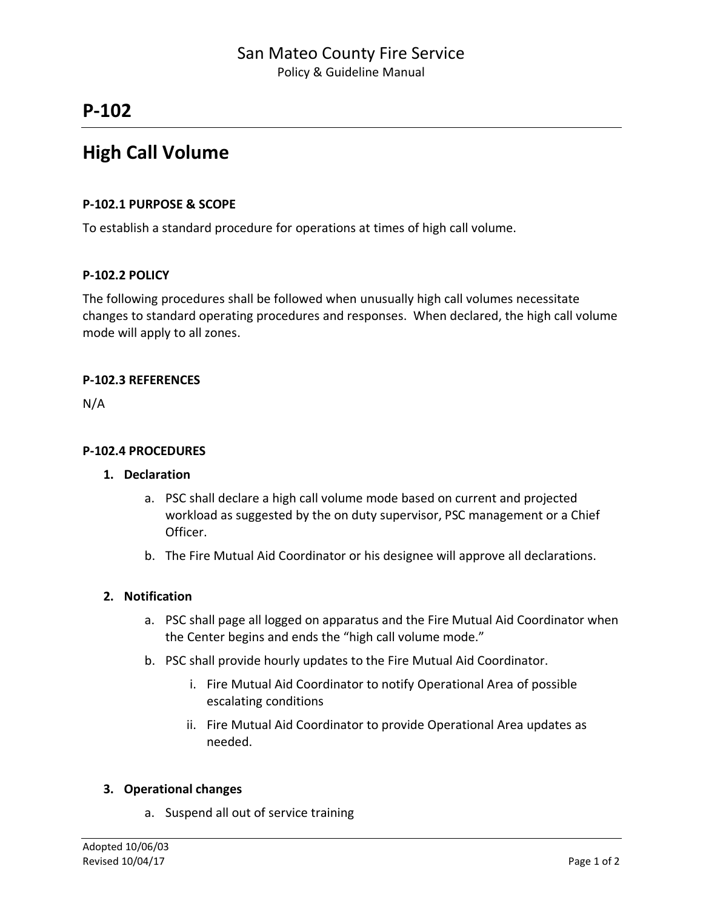# **P-102**

# **High Call Volume**

#### **P-102.1 PURPOSE & SCOPE**

To establish a standard procedure for operations at times of high call volume.

### **P-102.2 POLICY**

The following procedures shall be followed when unusually high call volumes necessitate changes to standard operating procedures and responses. When declared, the high call volume mode will apply to all zones.

### **P-102.3 REFERENCES**

N/A

#### **P-102.4 PROCEDURES**

#### **1. Declaration**

- a. PSC shall declare a high call volume mode based on current and projected workload as suggested by the on duty supervisor, PSC management or a Chief Officer.
- b. The Fire Mutual Aid Coordinator or his designee will approve all declarations.

#### **2. Notification**

- a. PSC shall page all logged on apparatus and the Fire Mutual Aid Coordinator when the Center begins and ends the "high call volume mode."
- b. PSC shall provide hourly updates to the Fire Mutual Aid Coordinator.
	- i. Fire Mutual Aid Coordinator to notify Operational Area of possible escalating conditions
	- ii. Fire Mutual Aid Coordinator to provide Operational Area updates as needed.

### **3. Operational changes**

a. Suspend all out of service training